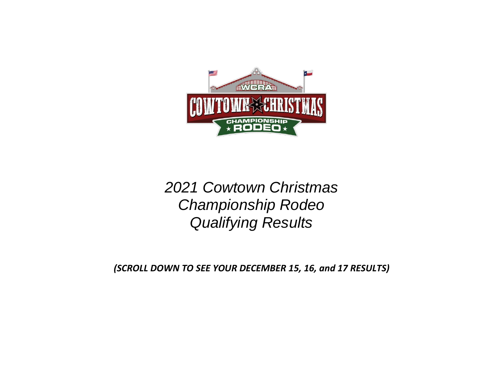

# *2021 Cowtown Christmas Championship Rodeo Qualifying Results*

*(SCROLL DOWN TO SEE YOUR DECEMBER 15, 16, and 17 RESULTS)*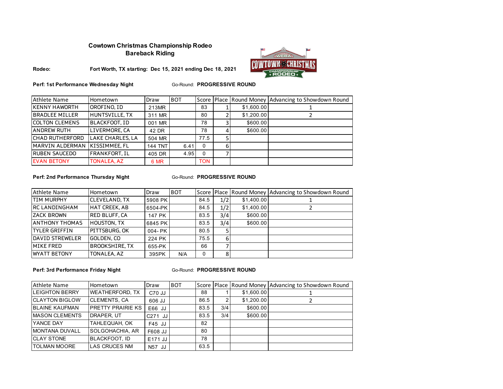# **Cowtown Christmas Championship Rodeo Bareback Riding**



**Rodeo: Fort Worth, TX starting: Dec 15, 2021 ending Dec 18, 2021**

**Perf: 1st Performance Wednesday Night** 

**Go-Round: PROGRESSIVE ROUND** 

| Athlete Name          | Hometown                | Draw           | <b>BOT</b> |            |            | Score Place Round Money Advancing to Showdown Round |
|-----------------------|-------------------------|----------------|------------|------------|------------|-----------------------------------------------------|
| <b>KENNY HAWORTH</b>  | OROFINO, ID             | 213MR          |            | 83         | \$1,600.00 |                                                     |
| <b>BRADLEE MILLER</b> | HUNTSVILLE. TX          | 311 MR         |            | 80         | \$1,200.00 |                                                     |
| <b>COLTON CLEMENS</b> | BLACKFOOT. ID           | 001 MR         |            | 78         | \$600.00   |                                                     |
| <b>ANDREW RUTH</b>    | LIVERMORE, CA           | 42 DR          |            | 78         | \$600.00   |                                                     |
| ICHAD RUTHERFORD      | <b>LAKE CHARLES, LA</b> | 504 MR         |            | 77.5       |            |                                                     |
| MARVIN ALDERMAN       | <b>IKISSIMMEE.FL</b>    | <b>144 TNT</b> | 6.41       | 0          |            |                                                     |
| <b>RUBEN SAUCEDO</b>  | FRANKFORT. IL           | 405 DR         | 4.95       | 0          |            |                                                     |
| <b>EVAN BETONY</b>    | <b>TONALEA, AZ</b>      | 6 MR           |            | <b>TON</b> |            |                                                     |

#### **Perf: 2nd Performance Thursday Night**

#### **Go-Round: PROGRESSIVE ROUND**

| Athlete Name           | Hometown              | Draw    | <b>BOT</b> |      |     |            | Score Place Round Money Advancing to Showdown Round |
|------------------------|-----------------------|---------|------------|------|-----|------------|-----------------------------------------------------|
| <b>TIM MURPHY</b>      | <b>CLEVELAND, TX</b>  | 5908 PK |            | 84.5 | 1/2 | \$1,400.00 |                                                     |
| <b>IRC LANDINGHAM</b>  | <b>HAT CREEK, AB</b>  | 6504-PK |            | 84.5 | 1/2 | \$1,400.00 |                                                     |
| <b>ZACK BROWN</b>      | <b>RED BLUFF, CA</b>  | 147 PK  |            | 83.5 | 3/4 | \$600.00   |                                                     |
| <b>ANTHONY THOMAS</b>  | <b>HOUSTON, TX</b>    | 6845 PK |            | 83.5 | 3/4 | \$600.00   |                                                     |
| ITYLER GRIFFIN         | PITTSBURG, OK         | 004-PK  |            | 80.5 |     |            |                                                     |
| <b>DAVID STREWELER</b> | GOLDEN, CO            | 224 PK  |            | 75.5 |     |            |                                                     |
| <b>MIKE FRED</b>       | <b>BROOKSHIRE, TX</b> | 655-PK  |            | 66   |     |            |                                                     |
| <b>WYATT BETONY</b>    | TONALEA, AZ           | 395PK   | N/A        | 0    |     |            |                                                     |

**Perf: 3rd Performance Friday Night** 

| Athlete Name          | Hometown                 | Draw      | <b>BOT</b> |      |     |            | Score Place Round Money Advancing to Showdown Round |
|-----------------------|--------------------------|-----------|------------|------|-----|------------|-----------------------------------------------------|
| <b>LEIGHTON BERRY</b> | <b>WEATHERFORD, TX</b>   | C70 JJ    |            | 88   |     | \$1,600.00 |                                                     |
| <b>CLAYTON BIGLOW</b> | <b>CLEMENTS, CA</b>      | 606 JJ    |            | 86.5 |     | \$1,200.00 |                                                     |
| <b>BLAINE KAUFMAN</b> | <b>PRETTY PRAIRIE KS</b> | E66 JJ    |            | 83.5 | 3/4 | \$600.00   |                                                     |
| <b>MASON CLEMENTS</b> | DRAPER. UT               | $C271$ JJ |            | 83.5 | 3/4 | \$600.00   |                                                     |
| YANCE DAY             | TAHLEQUAH, OK            | F45 JJ    |            | 82   |     |            |                                                     |
| <b>MONTANA DUVALL</b> | SOLGOHACHIA, AR          | F608 JJ   |            | 80   |     |            |                                                     |
| <b>CLAY STONE</b>     | <b>BLACKFOOT, ID</b>     | E171 JJ   |            | 78   |     |            |                                                     |
| <b>TOLMAN MOORE</b>   | <b>LAS CRUCES NM</b>     | N57 JJ    |            | 63.5 |     |            |                                                     |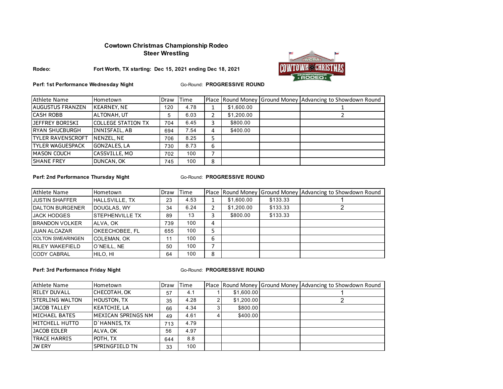# **Cowtown Christmas Championship Rodeo Steer Wrestling**



**Rodeo: Fort Worth, TX starting: Dec 15, 2021 ending Dec 18, 2021**

**Perf: 1st Performance Wednesday Night**

Go-Round: **PROGRESSIVE ROUND**

| Athlete Name             | Hometown                  | Draw | <b>ITime</b> |   |            | Place Round Money Ground Money Advancing to Showdown Round |
|--------------------------|---------------------------|------|--------------|---|------------|------------------------------------------------------------|
| <b>AUGUSTUS FRANZEN</b>  | <b>KEARNEY, NE</b>        | 120  | 4.78         |   | \$1,600.00 |                                                            |
| CASH ROBB                | ALTONAH, UT               | 5    | 6.03         | 2 | \$1,200.00 |                                                            |
| JEFFREY BORISKI          | <b>COLLEGE STATION TX</b> | 704  | 6.45         | 3 | \$800.00   |                                                            |
| RYAN SHUCBURGH           | INNISFAIL, AB             | 694  | 7.54         | 4 | \$400.00   |                                                            |
| <b>TYLER RAVENSCROFT</b> | NENZEL, NE                | 706  | 8.25         | 5 |            |                                                            |
| <b>TYLER WAGUESPACK</b>  | <b>GONZALES, LA</b>       | 730  | 8.73         | 6 |            |                                                            |
| <b>MASON COUCH</b>       | CASSVILLE, MO             | 702  | 100          |   |            |                                                            |
| <b>SHANE FREY</b>        | DUNCAN, OK                | 745  | 100          | 8 |            |                                                            |

**Perf: 2nd Performance Thursday Night** 

#### **Go-Round: PROGRESSIVE ROUND**

| <b>Athlete Name</b>      | Hometown                | Draw | <b>Time</b> |   | Place Round Money |          | Ground Money Advancing to Showdown Round |
|--------------------------|-------------------------|------|-------------|---|-------------------|----------|------------------------------------------|
| <b>JUSTIN SHAFFER</b>    | HALLSVILLE, TX          | 23   | 4.53        |   | \$1,600.00        | \$133.33 |                                          |
| <b>DALTON BURGENER</b>   | DOUGLAS, WY             | 34   | 6.24        |   | \$1,200.00        | \$133.33 |                                          |
| <b>JACK HODGES</b>       | <b>ISTEPHENVILLE TX</b> | 89   | 13          | 3 | \$800.00          | \$133.33 |                                          |
| <b>BRANDON VOLKER</b>    | ALVA, OK                | 739  | 100         | 4 |                   |          |                                          |
| <b>JUAN ALCAZAR</b>      | <b>OKEECHOBEE, FL</b>   | 655  | 100         | 5 |                   |          |                                          |
| <b>COLTON SWEARINGEN</b> | <b>COLEMAN, OK</b>      | 11   | 100         | 6 |                   |          |                                          |
| <b>RILEY WAKEFIELD</b>   | O'NEILL, NE             | 50   | 100         |   |                   |          |                                          |
| <b>CODY CABRAL</b>       | HILO, HI                | 64   | 100         | 8 |                   |          |                                          |

**Perf: 3rd Performance Friday Night** 

| Athlete Name           | Hometown              | Draw | <b>Time</b> |            | Place Round Money Ground Money Advancing to Showdown Round |
|------------------------|-----------------------|------|-------------|------------|------------------------------------------------------------|
| <b>RILEY DUVALL</b>    | CHECOTAH, OK          | 57   | 4.1         | \$1,600.00 |                                                            |
| <b>STERLING WALTON</b> | <b>HOUSTON, TX</b>    | 35   | 4.28        | \$1,200.00 |                                                            |
| <b>JACOB TALLEY</b>    | <b>KEATCHIE, LA</b>   | 66   | 4.34        | \$800.00   |                                                            |
| MICHAEL BATES          | MEXICAN SPRINGS NM    | 49   | 4.61        | \$400.00   |                                                            |
| <b>IMITCHELL HUTTO</b> | D'HANNIS, TX          | 713  | 4.79        |            |                                                            |
| JACOB EDLER            | ALVA, OK              | 56   | 4.97        |            |                                                            |
| <b>ITRACE HARRIS</b>   | POTH, TX              | 644  | 8.8         |            |                                                            |
| <b>JW ERY</b>          | <b>SPRINGFIELD TN</b> | 33   | 100         |            |                                                            |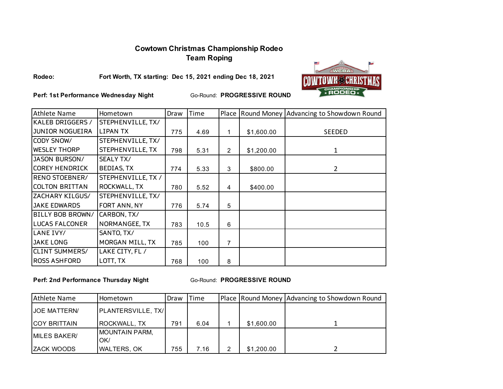# **Cowtown Christmas Championship Rodeo Team Roping**



**Rodeo:**

**Fort Worth, TX starting: Dec 15, 2021 ending Dec 18, 2021**

**Perf: 1st Performance Wednesday Night**

Go-Round: **PROGRESSIVE ROUND**

| <b>Athlete Name</b>     | Hometown           | Draw | Time |                |            | Place Round Money Advancing to Showdown Round |
|-------------------------|--------------------|------|------|----------------|------------|-----------------------------------------------|
| KALEB DRIGGERS /        | STEPHENVILLE, TX/  |      |      |                |            |                                               |
| JUNIOR NOGUEIRA         | LIPAN TX           | 775  | 4.69 | 1              | \$1,600.00 | <b>SEEDED</b>                                 |
| CODY SNOW/              | STEPHENVILLE, TX/  |      |      |                |            |                                               |
| <b>WESLEY THORP</b>     | STEPHENVILLE, TX   | 798  | 5.31 | $\overline{2}$ | \$1,200.00 | 1                                             |
| JASON BURSON/           | SEALY TX/          |      |      |                |            |                                               |
| <b>COREY HENDRICK</b>   | <b>BEDIAS, TX</b>  | 774  | 5.33 | 3              | \$800.00   | 2                                             |
| RENO STOEBNER/          | STEPHENVILLE, TX / |      |      |                |            |                                               |
| COLTON BRITTAN          | ROCKWALL, TX       | 780  | 5.52 | 4              | \$400.00   |                                               |
| ZACHARY KILGUS/         | STEPHENVILLE, TX/  |      |      |                |            |                                               |
| <b>JAKE EDWARDS</b>     | FORT ANN, NY       | 776  | 5.74 | 5              |            |                                               |
| <b>BILLY BOB BROWN/</b> | CARBON, TX/        |      |      |                |            |                                               |
| <b>LUCAS FALCONER</b>   | NORMANGEE, TX      | 783  | 10.5 | 6              |            |                                               |
| LANE IVY/               | SANTO, TX/         |      |      |                |            |                                               |
| <b>JAKE LONG</b>        | MORGAN MILL, TX    | 785  | 100  | 7              |            |                                               |
| <b>CLINT SUMMERS/</b>   | LAKE CITY, FL /    |      |      |                |            |                                               |
| <b>ROSS ASHFORD</b>     | LOTT, TX           | 768  | 100  | 8              |            |                                               |

**Perf: 2nd Performance Thursday Night** 

| Athlete Name         | Hometown                     | Draw | Time |   |            | Place Round Money Advancing to Showdown Round |
|----------------------|------------------------------|------|------|---|------------|-----------------------------------------------|
| <b>IJOE MATTERN/</b> | PLANTERSVILLE, TX/           |      |      |   |            |                                               |
| <b>ICOY BRITTAIN</b> | ROCKWALL, TX                 | 791  | 6.04 |   | \$1,600.00 |                                               |
| MILES BAKER/         | <b>MOUNTAIN PARM,</b><br>OK/ |      |      |   |            |                                               |
| IZACK WOODS          | <b>WALTERS, OK</b>           | 755  | 7.16 | 2 | \$1,200.00 |                                               |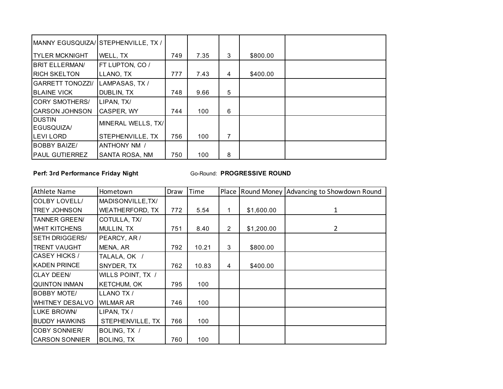|                         | MANNY EGUSQUIZA/STEPHENVILLE, TX / |     |      |   |          |  |
|-------------------------|------------------------------------|-----|------|---|----------|--|
| <b>TYLER MCKNIGHT</b>   | WELL, TX                           | 749 | 7.35 | 3 | \$800.00 |  |
| <b>BRIT ELLERMAN/</b>   | <b>FT LUPTON, CO /</b>             |     |      |   |          |  |
| <b>RICH SKELTON</b>     | LLANO, TX                          | 777 | 7.43 | 4 | \$400.00 |  |
| <b>GARRETT TONOZZI/</b> | LAMPASAS, TX /                     |     |      |   |          |  |
| <b>BLAINE VICK</b>      | <b>DUBLIN, TX</b>                  | 748 | 9.66 | 5 |          |  |
| <b>CORY SMOTHERS/</b>   | LIPAN, TX/                         |     |      |   |          |  |
| <b>CARSON JOHNSON</b>   | CASPER, WY                         | 744 | 100  | 6 |          |  |
| <b>DUSTIN</b>           | MINERAL WELLS, TX/                 |     |      |   |          |  |
| EGUSQUIZA/              |                                    |     |      |   |          |  |
| <b>LEVILORD</b>         | STEPHENVILLE, TX                   | 756 | 100  | 7 |          |  |
| <b>BOBBY BAIZE/</b>     | <b>ANTHONY NM /</b>                |     |      |   |          |  |
| <b>PAUL GUTIERREZ</b>   | <b>SANTA ROSA, NM</b>              | 750 | 100  | 8 |          |  |

# **Perf: 3rd Performance Friday Night**

| Athlete Name           | Hometown               | Draw | Time  |                |            | Place Round Money Advancing to Showdown Round |
|------------------------|------------------------|------|-------|----------------|------------|-----------------------------------------------|
| COLBY LOVELL/          | MADISONVILLE, TX/      |      |       |                |            |                                               |
| <b>TREY JOHNSON</b>    | <b>WEATHERFORD, TX</b> | 772  | 5.54  |                | \$1,600.00 | 1                                             |
| <b>TANNER GREEN/</b>   | COTULLA, TX/           |      |       |                |            |                                               |
| <b>WHIT KITCHENS</b>   | MULLIN, TX             | 751  | 8.40  | $\overline{2}$ | \$1,200.00 | $\overline{2}$                                |
| <b>SETH DRIGGERS/</b>  | PEARCY, AR /           |      |       |                |            |                                               |
| <b>TRENT VAUGHT</b>    | MENA, AR               | 792  | 10.21 | 3              | \$800.00   |                                               |
| CASEY HICKS /          | TALALA, OK /           |      |       |                |            |                                               |
| <b>KADEN PRINCE</b>    | SNYDER, TX             | 762  | 10.83 | 4              | \$400.00   |                                               |
| <b>CLAY DEEN/</b>      | WILLS POINT, TX /      |      |       |                |            |                                               |
| <b>QUINTON INMAN</b>   | <b>KETCHUM, OK</b>     | 795  | 100   |                |            |                                               |
| <b>BOBBY MOTE/</b>     | LLANO TX /             |      |       |                |            |                                               |
| <b>WHITNEY DESALVO</b> | <b>WILMAR AR</b>       | 746  | 100   |                |            |                                               |
| <b>LUKE BROWN</b>      | LIPAN, TX /            |      |       |                |            |                                               |
| <b>BUDDY HAWKINS</b>   | STEPHENVILLE, TX       | 766  | 100   |                |            |                                               |
| <b>COBY SONNIER/</b>   | BOLING, TX /           |      |       |                |            |                                               |
| <b>CARSON SONNIER</b>  | <b>BOLING, TX</b>      | 760  | 100   |                |            |                                               |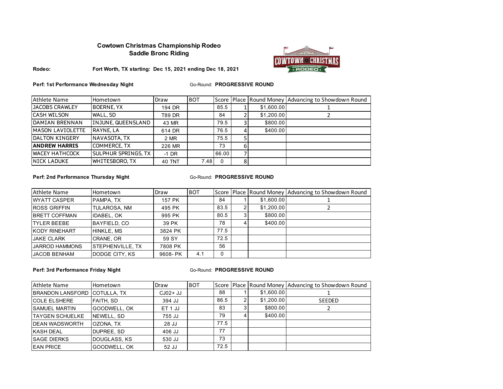# **Cowtown Christmas Championship Rodeo Saddle Bronc Riding**



#### **Rodeo: Fort Worth, TX starting: Dec 15, 2021 ending Dec 18, 2021**

**Perf: 1st Performance Wednesday Night**

Go-Round: **PROGRESSIVE ROUND**

| <b>Athlete Name</b>     | Hometown                   | Draw    | <b>BOT</b> |          |            | Score Place Round Money Advancing to Showdown Round |
|-------------------------|----------------------------|---------|------------|----------|------------|-----------------------------------------------------|
| <b>JACOBS CRAWLEY</b>   | <b>BOERNE, YX</b>          | 194 DR  |            | 85.5     | \$1,600.00 |                                                     |
| <b>CASH WILSON</b>      | WALL, SD                   | T89 DR  |            | 84       | \$1,200.00 |                                                     |
| <b>DAMIAN BRENNAN</b>   | INJUNE, QUEENSLAND         | 43 MR   |            | 79.5     | \$800.00   |                                                     |
| <b>MASON LAVIOLETTE</b> | RAYNE, LA                  | 614 DR  |            | 76.5     | \$400.00   |                                                     |
| <b>DALTON KINGERY</b>   | NAVASOTA, TX               | 2 MR    |            | 75.5     |            |                                                     |
| <b>ANDREW HARRIS</b>    | <b>COMMERCE, TX</b>        | 226 MR  |            | 73       |            |                                                     |
| <b>WACEY HATHCOCK</b>   | <b>SULPHUR SPRINGS, TX</b> | $-1$ DR |            | 66.00    |            |                                                     |
| <b>NICK LADUKE</b>      | WHITESBORO.TX              | 40 TNT  | 7.48       | $\Omega$ |            |                                                     |

#### **Perf: 2nd Performance Thursday Night**

#### Go-Round: PROGRESSIVE ROUND

| Athlete Name          | Hometown                 | Draw    | <b>BOT</b> |      |            | Score Place Round Money Advancing to Showdown Round |
|-----------------------|--------------------------|---------|------------|------|------------|-----------------------------------------------------|
| <b>IWYATT CASPER</b>  | PAMPA, TX                | 157 PK  |            | 84   | \$1,600.00 |                                                     |
| <b>ROSS GRIFFIN</b>   | <b>TULAROSA, NM</b>      | 495 PK  |            | 83.5 | \$1,200.00 |                                                     |
| <b>IBRETT COFFMAN</b> | <b>IDABEL, OK</b>        | 995 PK  |            | 80.5 | \$800.00   |                                                     |
| <b>ITYLER BEEBE</b>   | <b>BAYFIELD, CO</b>      | 39 PK   |            | 78   | \$400.00   |                                                     |
| <b>IKODY RINEHART</b> | HINKLE, MS               | 3824 PK |            | 77.5 |            |                                                     |
| <b>JAKE CLARK</b>     | CRANE, OR                | 59 SY   |            | 72.5 |            |                                                     |
| <b>JARROD HAMMONS</b> | <b>ISTEPHENVILLE, TX</b> | 7808 PK |            | 56   |            |                                                     |
| <b>JACOB BENHAM</b>   | DODGE CITY, KS           | 9608-PK | 4.1        | 0    |            |                                                     |

**Perf: 3rd Performance Friday Night** 

| Athlete Name            | Hometown     | Draw      | <b>BOT</b> |      |            | Score Place Round Money Advancing to Showdown Round |
|-------------------------|--------------|-----------|------------|------|------------|-----------------------------------------------------|
| <b>BRANDON LANSFORD</b> | COTULLA, TX  | $CJO2+JJ$ |            | 88   | \$1,600.00 |                                                     |
| <b>COLE ELSHERE</b>     | FAITH, SD    | 394 JJ    |            | 86.5 | \$1,200.00 | <b>SEEDED</b>                                       |
| <b>SAMUEL MARTIN</b>    | GOODWELL, OK | ET 1 JJ   |            | 83   | \$800.00   |                                                     |
| <b>TAYGEN SCHUELKE</b>  | NEWELL, SD   | 755 JJ    |            | 79   | \$400.00   |                                                     |
| <b>DEAN WADSWORTH</b>   | OZONA, TX    | 28 JJ     |            | 77.5 |            |                                                     |
| <b>KASH DEAL</b>        | DUPREE, SD   | 406 JJ    |            | 77   |            |                                                     |
| <b>SAGE DIERKS</b>      | DOUGLASS, KS | 530 JJ    |            | 73   |            |                                                     |
| <b>EAN PRICE</b>        | GOODWELL, OK | 52 JJ     |            | 72.5 |            |                                                     |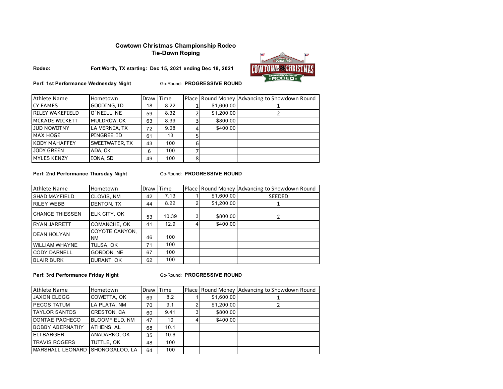## **Cowtown Christmas Championship Rodeo Tie-Down Roping**



**Rodeo: Fort Worth, TX starting: Dec 15, 2021 ending Dec 18, 2021**

**Perf: 1st Performance Wednesday Night**

Go-Round: **PROGRESSIVE ROUND**

| <b>Athlete Name</b>    | Hometown       | Draw | <b>Time</b> |         |            | Place Round Money Advancing to Showdown Round |
|------------------------|----------------|------|-------------|---------|------------|-----------------------------------------------|
| <b>CY EAMES</b>        | GOODING, ID    | 18   | 8.22        |         | \$1,600.00 |                                               |
| <b>RILEY WAKEFIELD</b> | O'NEILL, NE    | 59   | 8.32        |         | \$1,200.00 |                                               |
| MCKADE WICKETT         | MULDROW, OK    | 63   | 8.39        |         | \$800.00   |                                               |
| <b>JUD NOWOTNY</b>     | LA VERNIA, TX  | 72   | 9.08        |         | \$400.00   |                                               |
| MAX HOGE               | PINGREE, ID    | 61   | 13          |         |            |                                               |
| <b>KODY MAHAFFEY</b>   | SWEETWATER, TX | 43   | 100         |         |            |                                               |
| <b>JODY GREEN</b>      | ADA, OK        | 6    | 100         |         |            |                                               |
| <b>MYLES KENZY</b>     | IONA, SD       | 49   | 100         | $\circ$ |            |                                               |

**Perf: 2nd Performance Thursday Night** 

Go-Round: PROGRESSIVE ROUND

| <b>Athlete Name</b>     | Hometown             | Draw | Time  |            | Place Round Money Advancing to Showdown Round |
|-------------------------|----------------------|------|-------|------------|-----------------------------------------------|
| <b>SHAD MAYFIELD</b>    | CLOVIS, NM           | 42   | 7.13  | \$1,600.00 | <b>SEEDED</b>                                 |
| <b>RILEY WEBB</b>       | <b>DENTON, TX</b>    | 44   | 8.22  | \$1,200.00 |                                               |
| <b>ICHANCE THIESSEN</b> | ELK CITY, OK         | 53   | 10.39 | \$800.00   | 2                                             |
| <b>RYAN JARRETT</b>     | COMANCHE, OK         | 41   | 12.9  | \$400.00   |                                               |
| <b>DEAN HOLYAN</b>      | COYOTE CANYON,<br>NM | 46   | 100   |            |                                               |
| <b>WILLIAM WHAYNE</b>   | TULSA, OK            | 71   | 100   |            |                                               |
| <b>CODY DARNELL</b>     | GORDON, NE           | 67   | 100   |            |                                               |
| <b>BLAIR BURK</b>       | DURANT, OK           | 62   | 100   |            |                                               |

**Perf: 3rd Performance Friday Night** 

| Athlete Name                    | Hometown              | Draw | <b>Time</b> |            | Place Round Money Advancing to Showdown Round |
|---------------------------------|-----------------------|------|-------------|------------|-----------------------------------------------|
| <b>JAXON CLEGG</b>              | COWETTA, OK           | 69   | 8.2         | \$1,600.00 |                                               |
| <b>PECOS TATUM</b>              | LA PLATA, NM          | 70   | 9.1         | \$1,200.00 |                                               |
| <b>TAYLOR SANTOS</b>            | <b>CRESTON, CA</b>    | 60   | 9.41        | \$800.00   |                                               |
| DONTAE PACHECO                  | <b>BLOOMFIELD, NM</b> | 47   | 10          | \$400.00   |                                               |
| <b>BOBBY ABERNATHY</b>          | ATHENS, AL            | 68   | 10.1        |            |                                               |
| <b>ELI BARGER</b>               | ANADARKO, OK          | 35   | 10.6        |            |                                               |
| <b>TRAVIS ROGERS</b>            | TUTTLE, OK            | 48   | 100         |            |                                               |
| MARSHALL LEONARD SHONOGALOO. LA |                       | 64   | 100         |            |                                               |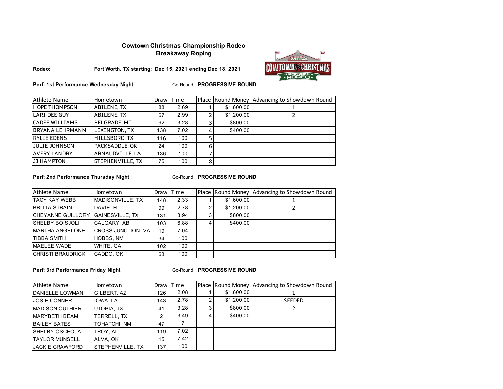# **Cowtown Christmas Championship Rodeo Breakaway Roping**



**Fort Worth, TX starting: Dec 15, 2021 ending Dec 18, 2021**



**Perf: 1st Performance Wednesday Night**

Go-Round: **PROGRESSIVE ROUND**

| Athlete Name           | Hometown            | Draw I | Time |   |            | Place Round Money Advancing to Showdown Round |
|------------------------|---------------------|--------|------|---|------------|-----------------------------------------------|
| <b>HOPE THOMPSON</b>   | <b>ABILENE, TX</b>  | 88     | 2.69 |   | \$1,600.00 |                                               |
| LARI DEE GUY           | <b>ABILENE, TX</b>  | 67     | 2.99 |   | \$1,200.00 |                                               |
| CADEE WILLIAMS         | <b>BELGRADE, MT</b> | 92     | 3.28 |   | \$800.00   |                                               |
| <b>BRYANA LEHRMANN</b> | LEXINGTON, TX       | 138    | 7.02 |   | \$400.00   |                                               |
| <b>RYLIE EDENS</b>     | HILLSBORO.TX        | 116    | 100  |   |            |                                               |
| <b>JULIE JOHNSON</b>   | PACKSADDLE, OK      | 24     | 100  | 6 |            |                                               |
| <b>AVERY LANDRY</b>    | ARNAUDVILLE, LA     | 136    | 100  |   |            |                                               |
| <b>JJ HAMPTON</b>      | STEPHENVILLE, TX    | 75     | 100  | 8 |            |                                               |

#### **Perf: 2nd Performance Thursday Night**

#### **Go-Round: PROGRESSIVE ROUND**

| <b>Athlete Name</b>      | Hometown                  | Draw Time |      |            | Place Round Money Advancing to Showdown Round |
|--------------------------|---------------------------|-----------|------|------------|-----------------------------------------------|
| <b>TACY KAY WEBB</b>     | MADISONVILLE, TX          | 148       | 2.33 | \$1,600.00 |                                               |
| <b>BRITTA STRAIN</b>     | DAVIE, FL                 | 99        | 2.78 | \$1,200.00 |                                               |
| CHEYANNE GUILLORY        | <b>GAINESVILLE, TX</b>    | 131       | 3.94 | \$800.00   |                                               |
| <b>SHELBY BOISJOLI</b>   | CALGARY, AB               | 103       | 6.88 | \$400.00   |                                               |
| MARTHA ANGELONE          | <b>CROSS JUNCTION, VA</b> | 19        | 7.04 |            |                                               |
| <b>TIBBA SMITH</b>       | HOBBS, NM                 | 34        | 100  |            |                                               |
| MAELEE WADE              | WHITE, GA                 | 102       | 100  |            |                                               |
| <b>CHRISTI BRAUDRICK</b> | CADDO, OK                 | 63        | 100  |            |                                               |

**Perf: 3rd Performance Friday Night** 

| <b>Athlete Name</b>    | Hometown         | Draw | Time |   |            | Place Round Money Advancing to Showdown Round |
|------------------------|------------------|------|------|---|------------|-----------------------------------------------|
| DANIELLE LOWMAN        | GILBERT, AZ      | 126  | 2.08 |   | \$1,600.00 |                                               |
| <b>JOSIE CONNER</b>    | IOWA, LA         | 143  | 2.78 |   | \$1,200.00 | <b>SEEDED</b>                                 |
| <b>MADISON OUTHIER</b> | UTOPIA, TX       | 41   | 3.28 | 3 | \$800.00   |                                               |
| <b>MARYBETH BEAM</b>   | TERRELL, TX      | 2    | 3.49 |   | \$400.00   |                                               |
| <b>BAILEY BATES</b>    | TOHATCHI, NM     | 47   |      |   |            |                                               |
| <b>ISHELBY OSCEOLA</b> | TROY, AL         | 119  | 7.02 |   |            |                                               |
| <b>TAYLOR MUNSELL</b>  | ALVA, OK         | 15   | 7.42 |   |            |                                               |
| <b>JACKIE CRAWFORD</b> | STEPHENVILLE. TX | 137  | 100  |   |            |                                               |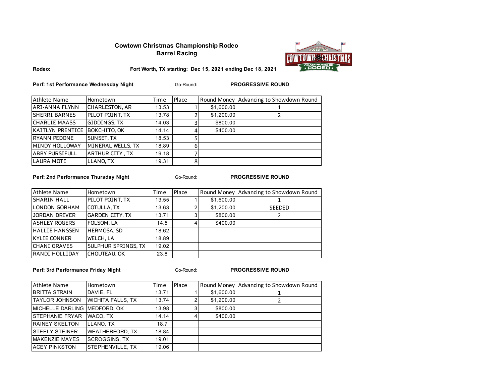# **Cowtown Christmas Championship Rodeo Barrel Racing**



**Rodeo:**

**Fort Worth, TX starting: Dec 15, 2021 ending Dec 18, 2021**

**Perf: 1st Performance Wednesday Night PROGRESSIVE ROUND PROGRESSIVE ROUND** 

Go-Round:

| <b>Athlete Name</b>           | Hometown               | Time  | Place |            | Round Money Advancing to Showdown Round |
|-------------------------------|------------------------|-------|-------|------------|-----------------------------------------|
| <b>ARI-ANNA FLYNN</b>         | <b>CHARLESTON, AR</b>  | 13.53 |       | \$1,600.00 |                                         |
| <b>SHERRI BARNES</b>          | <b>PILOT POINT. TX</b> | 13.78 |       | \$1,200.00 |                                         |
| <b>CHARLIE MAASS</b>          | GIDDINGS, TX           | 14.03 |       | \$800.00   |                                         |
| KAITLYN PRENTICE BOKCHITO, OK |                        | 14.14 |       | \$400.00   |                                         |
| RYANN PEDONE                  | SUNSET. TX             | 18.53 |       |            |                                         |
| MINDY HOLLOWAY                | MINERAL WELLS, TX      | 18.89 | 6     |            |                                         |
| <b>ABBY PURSIFULL</b>         | <b>ARTHUR CITY, TX</b> | 19.18 |       |            |                                         |
| <b>LAURA MOTE</b>             | LLANO, TX              | 19.31 | 8     |            |                                         |

**Perf: 2nd Performance Thursday Night PROGRESSIVE ROUND PROGRESSIVE ROUND** 

Go-Round:

| Athlete Name          | Hometown               | Time  | Place          |            | Round Money Advancing to Showdown Round |
|-----------------------|------------------------|-------|----------------|------------|-----------------------------------------|
| <b>SHARIN HALL</b>    | PILOT POINT, TX        | 13.55 |                | \$1,600.00 |                                         |
| <b>LONDON GORHAM</b>  | <b>COTULLA, TX</b>     | 13.63 |                | \$1,200.00 | SEEDED                                  |
| JORDAN DRIVER         | <b>GARDEN CITY, TX</b> | 13.71 | 3 <sub>1</sub> | \$800.00   |                                         |
| <b>ASHLEY ROGERS</b>  | FOLSOM, LA             | 14.5  |                | \$400.00   |                                         |
| <b>HALLIE HANSSEN</b> | <b>HERMOSA, SD</b>     | 18.62 |                |            |                                         |
| <b>KYLIE CONNER</b>   | <b>WELCH, LA</b>       | 18.89 |                |            |                                         |
| <b>CHANI GRAVES</b>   | SULPHUR SPRINGS, TX    | 19.02 |                |            |                                         |
| RANDI HOLLIDAY        | <b>CHOUTEAU, OK</b>    | 23.8  |                |            |                                         |

**Perf: 3rd Performance Friday Night PROGRESSIVE ROUND PROGRESSIVE ROUND** 

Go-Round:

| Athlete Name                 | Hometown                 | Time  | Place |            | Round Money Advancing to Showdown Round |
|------------------------------|--------------------------|-------|-------|------------|-----------------------------------------|
| <b>BRITTA STRAIN</b>         | DAVIE, FL                | 13.71 |       | \$1,600.00 |                                         |
| <b>TAYLOR JOHNSON</b>        | <b>WICHITA FALLS, TX</b> | 13.74 |       | \$1,200.00 |                                         |
| MICHELLE DARLING MEDFORD, OK |                          | 13.98 | 3     | \$800.00   |                                         |
| <b>STEPHANIE FRYAR</b>       | WACO, TX                 | 14.14 |       | \$400.00   |                                         |
| <b>RAINEY SKELTON</b>        | LLANO. TX                | 18.7  |       |            |                                         |
| <b>STEELY STEINER</b>        | <b>WEATHERFORD, TX</b>   | 18.84 |       |            |                                         |
| <b>MAKENZIE MAYES</b>        | <b>SCROGGINS, TX</b>     | 19.01 |       |            |                                         |
| <b>ACEY PINKSTON</b>         | STEPHENVILLE, TX         | 19.06 |       |            |                                         |